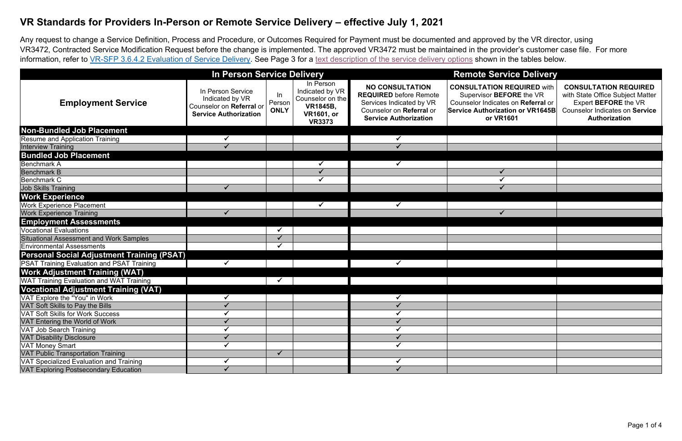Any request to change a Service Definition, Process and Procedure, or Outcomes Required for Payment must be documented and approved by the VR director, using VR3472, Contracted Service Modification Request before the change is implemented. The approved VR3472 must be maintained in the provider's customer case file. For more information, refer to [VR-SFP 3.6.4.2 Evaluation of Service Delivery.](https://twc.texas.gov/standards-manual/vr-sfp-chapter-03#s3-6-4) See Page 3 for a [text description of the service delivery options](#page-2-0) shown in the tables below.

## **VR Standards for Providers In-Person or Remote Service Delivery – effective July 1, 2021**

### **In Person Service Delivery Remote Service Delivery**

**REQUIRED** with **EFORE** the VR tes on **Referral** or **Service Authorization or VR1645B R1601** 

#### **CONSULTATION REQUIRED** with State Office Subject Matter Expert **BEFORE** the VR Counselor Indicates on **Service Authorization**

|                                                   | <b>In Person Service Delivery</b>                                                                |                              |                                                                                                           | <b>Remote Serv</b>                                                                                                                              |                                                                                                                |  |
|---------------------------------------------------|--------------------------------------------------------------------------------------------------|------------------------------|-----------------------------------------------------------------------------------------------------------|-------------------------------------------------------------------------------------------------------------------------------------------------|----------------------------------------------------------------------------------------------------------------|--|
| <b>Employment Service</b>                         | In Person Service<br>Indicated by VR<br>Counselor on Referral or<br><b>Service Authorization</b> | In.<br>Person<br><b>ONLY</b> | In Person<br>Indicated by VR<br>Counselor on the<br><b>VR1845B,</b><br><b>VR1601, or</b><br><b>VR3373</b> | <b>NO CONSULTATION</b><br><b>REQUIRED</b> before Remote<br>Services Indicated by VR<br>Counselor on Referral or<br><b>Service Authorization</b> | <b>CONSULTATION</b><br><b>Supervisor BEI</b><br><b>Counselor Indicate</b><br><b>Service Authoriza</b><br>or VR |  |
| Non-Bundled Job Placement                         |                                                                                                  |                              |                                                                                                           |                                                                                                                                                 |                                                                                                                |  |
| <b>Resume and Application Training</b>            |                                                                                                  |                              |                                                                                                           | ✓                                                                                                                                               |                                                                                                                |  |
| <b>Interview Training</b>                         |                                                                                                  |                              |                                                                                                           |                                                                                                                                                 |                                                                                                                |  |
| <b>Bundled Job Placement</b>                      |                                                                                                  |                              |                                                                                                           |                                                                                                                                                 |                                                                                                                |  |
| <b>Benchmark A</b>                                |                                                                                                  |                              | $\checkmark$                                                                                              | $\checkmark$                                                                                                                                    |                                                                                                                |  |
| <b>Benchmark B</b>                                |                                                                                                  |                              |                                                                                                           |                                                                                                                                                 |                                                                                                                |  |
| Benchmark C                                       |                                                                                                  |                              |                                                                                                           |                                                                                                                                                 |                                                                                                                |  |
| <b>Job Skills Training</b>                        |                                                                                                  |                              |                                                                                                           |                                                                                                                                                 |                                                                                                                |  |
| <b>Work Experience</b>                            |                                                                                                  |                              |                                                                                                           |                                                                                                                                                 |                                                                                                                |  |
| <b>Work Experience Placement</b>                  |                                                                                                  |                              | $\checkmark$                                                                                              | $\checkmark$                                                                                                                                    |                                                                                                                |  |
| <b>Work Experience Training</b>                   | $\checkmark$                                                                                     |                              |                                                                                                           |                                                                                                                                                 |                                                                                                                |  |
| <b>Employment Assessments</b>                     |                                                                                                  |                              |                                                                                                           |                                                                                                                                                 |                                                                                                                |  |
| <b>Vocational Evaluations</b>                     |                                                                                                  | ✓                            |                                                                                                           |                                                                                                                                                 |                                                                                                                |  |
| <b>Situational Assessment and Work Samples</b>    |                                                                                                  | $\checkmark$                 |                                                                                                           |                                                                                                                                                 |                                                                                                                |  |
| <b>Environmental Assessments</b>                  |                                                                                                  | ✓                            |                                                                                                           |                                                                                                                                                 |                                                                                                                |  |
| <b>Personal Social Adjustment Training (PSAT)</b> |                                                                                                  |                              |                                                                                                           |                                                                                                                                                 |                                                                                                                |  |
| <b>PSAT Training Evaluation and PSAT Training</b> | ✓                                                                                                |                              |                                                                                                           | $\checkmark$                                                                                                                                    |                                                                                                                |  |
| <b>Work Adjustment Training (WAT)</b>             |                                                                                                  |                              |                                                                                                           |                                                                                                                                                 |                                                                                                                |  |
| <b>WAT Training Evaluation and WAT Training</b>   |                                                                                                  |                              |                                                                                                           |                                                                                                                                                 |                                                                                                                |  |
| <b>Vocational Adjustment Training (VAT)</b>       |                                                                                                  |                              |                                                                                                           |                                                                                                                                                 |                                                                                                                |  |
| VAT Explore the "You" in Work                     |                                                                                                  |                              |                                                                                                           |                                                                                                                                                 |                                                                                                                |  |
| VAT Soft Skills to Pay the Bills                  |                                                                                                  |                              |                                                                                                           |                                                                                                                                                 |                                                                                                                |  |
| <b>VAT Soft Skills for Work Success</b>           |                                                                                                  |                              |                                                                                                           |                                                                                                                                                 |                                                                                                                |  |
| VAT Entering the World of Work                    |                                                                                                  |                              |                                                                                                           |                                                                                                                                                 |                                                                                                                |  |
| <b>VAT Job Search Training</b>                    |                                                                                                  |                              |                                                                                                           |                                                                                                                                                 |                                                                                                                |  |
| <b>VAT Disability Disclosure</b>                  |                                                                                                  |                              |                                                                                                           |                                                                                                                                                 |                                                                                                                |  |
| <b>VAT Money Smart</b>                            |                                                                                                  |                              |                                                                                                           |                                                                                                                                                 |                                                                                                                |  |
| <b>VAT Public Transportation Training</b>         |                                                                                                  | ✓                            |                                                                                                           |                                                                                                                                                 |                                                                                                                |  |
| VAT Specialized Evaluation and Training           |                                                                                                  |                              |                                                                                                           |                                                                                                                                                 |                                                                                                                |  |
| <b>VAT Exploring Postsecondary Education</b>      | $\checkmark$                                                                                     |                              |                                                                                                           | $\checkmark$                                                                                                                                    |                                                                                                                |  |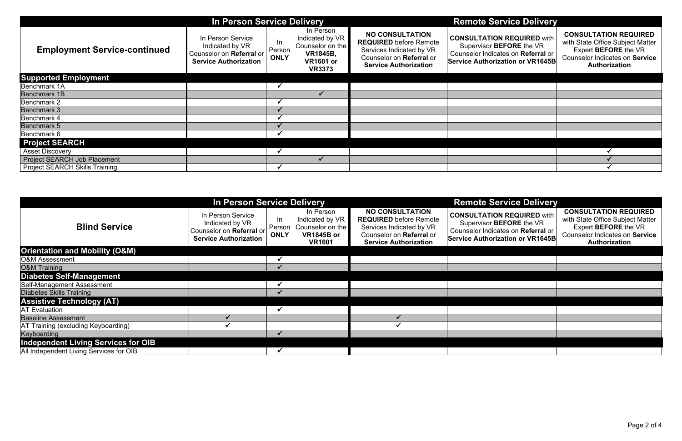|                                     | <b>In Person Service Delivery</b>                                                                |                              |                                                                                                          |                                                                                                                                                 | <b>Remote Service Delivery</b>                                                                                                                 |                                                                                                            |
|-------------------------------------|--------------------------------------------------------------------------------------------------|------------------------------|----------------------------------------------------------------------------------------------------------|-------------------------------------------------------------------------------------------------------------------------------------------------|------------------------------------------------------------------------------------------------------------------------------------------------|------------------------------------------------------------------------------------------------------------|
| <b>Employment Service-continued</b> | In Person Service<br>Indicated by VR<br>Counselor on Referral or<br><b>Service Authorization</b> | In.<br>Person<br><b>ONLY</b> | In Person<br>Indicated by VR<br>Counselor on the<br><b>VR1845B,</b><br><b>VR1601 or</b><br><b>VR3373</b> | <b>NO CONSULTATION</b><br><b>REQUIRED</b> before Remote<br>Services Indicated by VR<br>Counselor on Referral or<br><b>Service Authorization</b> | <b>CONSULTATION REQUIRED with</b><br>Supervisor BEFORE the VR<br>Counselor Indicates on Referral or<br><b>Service Authorization or VR1645B</b> | <b>CONSULTATIO</b><br>with State Office<br><b>Expert BEFC</b><br><b>Counselor Indica</b><br><b>Authori</b> |
| <b>Supported Employment</b>         |                                                                                                  |                              |                                                                                                          |                                                                                                                                                 |                                                                                                                                                |                                                                                                            |
| Benchmark 1A                        |                                                                                                  |                              |                                                                                                          |                                                                                                                                                 |                                                                                                                                                |                                                                                                            |
| <b>Benchmark 1B</b>                 |                                                                                                  |                              |                                                                                                          |                                                                                                                                                 |                                                                                                                                                |                                                                                                            |
| Benchmark 2                         |                                                                                                  |                              |                                                                                                          |                                                                                                                                                 |                                                                                                                                                |                                                                                                            |
| <b>Benchmark 3</b>                  |                                                                                                  |                              |                                                                                                          |                                                                                                                                                 |                                                                                                                                                |                                                                                                            |
| Benchmark 4                         |                                                                                                  |                              |                                                                                                          |                                                                                                                                                 |                                                                                                                                                |                                                                                                            |
| Benchmark 5                         |                                                                                                  |                              |                                                                                                          |                                                                                                                                                 |                                                                                                                                                |                                                                                                            |
| Benchmark 6                         |                                                                                                  |                              |                                                                                                          |                                                                                                                                                 |                                                                                                                                                |                                                                                                            |
| <b>Project SEARCH</b>               |                                                                                                  |                              |                                                                                                          |                                                                                                                                                 |                                                                                                                                                |                                                                                                            |
| <b>Asset Discovery</b>              |                                                                                                  |                              |                                                                                                          |                                                                                                                                                 |                                                                                                                                                |                                                                                                            |
| <b>Project SEARCH Job Placement</b> |                                                                                                  |                              |                                                                                                          |                                                                                                                                                 |                                                                                                                                                |                                                                                                            |
| Project SEARCH Skills Training      |                                                                                                  |                              |                                                                                                          |                                                                                                                                                 |                                                                                                                                                |                                                                                                            |

| <b>Remote Service Delivery</b>                                                                                                                 |                                                                                                                                                           |
|------------------------------------------------------------------------------------------------------------------------------------------------|-----------------------------------------------------------------------------------------------------------------------------------------------------------|
| <b>CONSULTATION REQUIRED with</b><br>Supervisor BEFORE the VR<br>Counselor Indicates on Referral or<br><b>Service Authorization or VR1645B</b> | <b>CONSULTATION REQUIRED</b><br>with State Office Subject Matter<br>Expert BEFORE the VR<br><b>Counselor Indicates on Service</b><br><b>Authorization</b> |
|                                                                                                                                                |                                                                                                                                                           |
|                                                                                                                                                |                                                                                                                                                           |
|                                                                                                                                                |                                                                                                                                                           |
|                                                                                                                                                |                                                                                                                                                           |
|                                                                                                                                                |                                                                                                                                                           |
|                                                                                                                                                |                                                                                                                                                           |
|                                                                                                                                                |                                                                                                                                                           |
|                                                                                                                                                |                                                                                                                                                           |
|                                                                                                                                                |                                                                                                                                                           |
|                                                                                                                                                |                                                                                                                                                           |

|                                            | In Person Service Delivery                                                                       |                                            |                                                                                        | <b>Remote Service Delivery</b>                                                                                                                  |                                                                                                                                                |                                                                                                                                                    |
|--------------------------------------------|--------------------------------------------------------------------------------------------------|--------------------------------------------|----------------------------------------------------------------------------------------|-------------------------------------------------------------------------------------------------------------------------------------------------|------------------------------------------------------------------------------------------------------------------------------------------------|----------------------------------------------------------------------------------------------------------------------------------------------------|
| <b>Blind Service</b>                       | In Person Service<br>Indicated by VR<br>Counselor on Referral or<br><b>Service Authorization</b> | In<br>I Person <sup>1</sup><br><b>ONLY</b> | In Person<br>Indicated by VR<br>Counselor on the<br><b>VR1845B or</b><br><b>VR1601</b> | <b>NO CONSULTATION</b><br><b>REQUIRED</b> before Remote<br>Services Indicated by VR<br>Counselor on Referral or<br><b>Service Authorization</b> | <b>CONSULTATION REQUIRED with</b><br>Supervisor BEFORE the VR<br>Counselor Indicates on Referral or<br><b>Service Authorization or VR1645B</b> | <b>CONSULTATION REQUIRED</b><br>with State Office Subject Matter<br>Expert BEFORE the VR<br><b>Counselor Indicates on Service</b><br>Authorization |
| <b>Orientation and Mobility (O&amp;M)</b>  |                                                                                                  |                                            |                                                                                        |                                                                                                                                                 |                                                                                                                                                |                                                                                                                                                    |
| <b>O&amp;M Assessment</b>                  |                                                                                                  |                                            |                                                                                        |                                                                                                                                                 |                                                                                                                                                |                                                                                                                                                    |
| <b>O&amp;M Training</b>                    |                                                                                                  |                                            |                                                                                        |                                                                                                                                                 |                                                                                                                                                |                                                                                                                                                    |
| <b>Diabetes Self-Management</b>            |                                                                                                  |                                            |                                                                                        |                                                                                                                                                 |                                                                                                                                                |                                                                                                                                                    |
| Self-Management Assessment                 |                                                                                                  |                                            |                                                                                        |                                                                                                                                                 |                                                                                                                                                |                                                                                                                                                    |
| <b>Diabetes Skills Training</b>            |                                                                                                  |                                            |                                                                                        |                                                                                                                                                 |                                                                                                                                                |                                                                                                                                                    |
| <b>Assistive Technology (AT)</b>           |                                                                                                  |                                            |                                                                                        |                                                                                                                                                 |                                                                                                                                                |                                                                                                                                                    |
| <b>AT Evaluation</b>                       |                                                                                                  |                                            |                                                                                        |                                                                                                                                                 |                                                                                                                                                |                                                                                                                                                    |
| <b>Baseline Assessment</b>                 |                                                                                                  |                                            |                                                                                        |                                                                                                                                                 |                                                                                                                                                |                                                                                                                                                    |
| <b>AT Training (excluding Keyboarding)</b> |                                                                                                  |                                            |                                                                                        |                                                                                                                                                 |                                                                                                                                                |                                                                                                                                                    |
| Keyboarding                                |                                                                                                  |                                            |                                                                                        |                                                                                                                                                 |                                                                                                                                                |                                                                                                                                                    |
| <b>Independent Living Services for OIB</b> |                                                                                                  |                                            |                                                                                        |                                                                                                                                                 |                                                                                                                                                |                                                                                                                                                    |
| All Independent Living Services for OIB    |                                                                                                  |                                            |                                                                                        |                                                                                                                                                 |                                                                                                                                                |                                                                                                                                                    |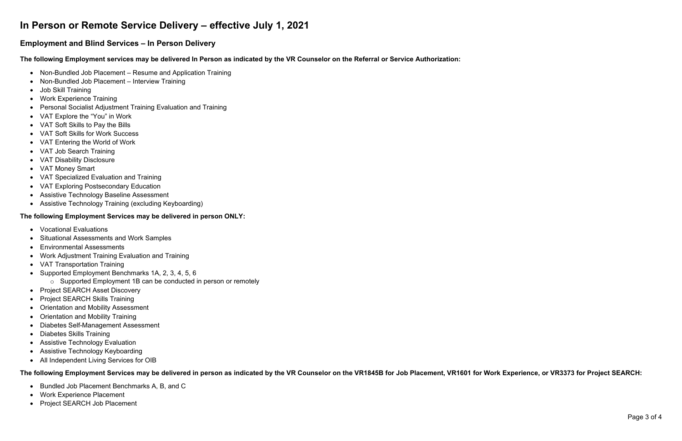# <span id="page-2-0"></span>**In Person or Remote Service Delivery – effective July 1, 2021**

### **Employment and Blind Services – In Person Delivery**

**The following Employment services may be delivered In Person as indicated by the VR Counselor on the Referral or Service Authorization:**

- Non-Bundled Job Placement Resume and Application Training
- Non-Bundled Job Placement Interview Training
- Job Skill Training
- Work Experience Training
- Personal Socialist Adjustment Training Evaluation and Training
- VAT Explore the "You" in Work
- VAT Soft Skills to Pay the Bills
- VAT Soft Skills for Work Success
- VAT Entering the World of Work
- VAT Job Search Training
- VAT Disability Disclosure
- VAT Money Smart
- VAT Specialized Evaluation and Training
- VAT Exploring Postsecondary Education
- Assistive Technology Baseline Assessment
- Assistive Technology Training (excluding Keyboarding)

#### **The following Employment Services may be delivered in person ONLY:**

- Vocational Evaluations
- Situational Assessments and Work Samples
- Environmental Assessments
- Work Adjustment Training Evaluation and Training
- VAT Transportation Training
- Supported Employment Benchmarks 1A, 2, 3, 4, 5, 6
	- o Supported Employment 1B can be conducted in person or remotely
- Project SEARCH Asset Discovery
- Project SEARCH Skills Training
- Orientation and Mobility Assessment
- Orientation and Mobility Training
- Diabetes Self-Management Assessment
- Diabetes Skills Training
- Assistive Technology Evaluation
- Assistive Technology Keyboarding
- All Independent Living Services for OIB

#### **The following Employment Services may be delivered in person as indicated by the VR Counselor on the VR1845B for Job Placement, VR1601 for Work Experience, or VR3373 for Project SEARCH:**

- Bundled Job Placement Benchmarks A, B, and C
- Work Experience Placement
- Project SEARCH Job Placement